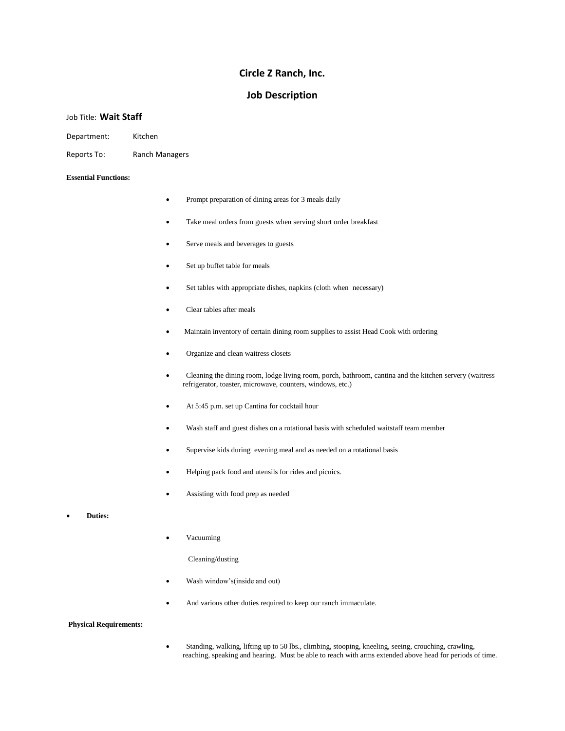# **Circle Z Ranch, Inc.**

# **Job Description**

## Job Title: **Wait Staff**

Department: Kitchen

Reports To: Ranch Managers

#### **Essential Functions:**

- Prompt preparation of dining areas for 3 meals daily
- Take meal orders from guests when serving short order breakfast
- Serve meals and beverages to guests
- Set up buffet table for meals
- Set tables with appropriate dishes, napkins (cloth when necessary)
- Clear tables after meals
- Maintain inventory of certain dining room supplies to assist Head Cook with ordering
- Organize and clean waitress closets
- Cleaning the dining room, lodge living room, porch, bathroom, cantina and the kitchen servery (waitress refrigerator, toaster, microwave, counters, windows, etc.)
- At 5:45 p.m. set up Cantina for cocktail hour
- Wash staff and guest dishes on a rotational basis with scheduled waitstaff team member
- Supervise kids during evening meal and as needed on a rotational basis
- Helping pack food and utensils for rides and picnics.
- Assisting with food prep as needed
- **Duties:**
- Vacuuming
	- Cleaning/dusting
- Wash window's(inside and out)
- And various other duties required to keep our ranch immaculate.

## **Physical Requirements:**

• Standing, walking, lifting up to 50 lbs., climbing, stooping, kneeling, seeing, crouching, crawling, reaching, speaking and hearing. Must be able to reach with arms extended above head for periods of time.